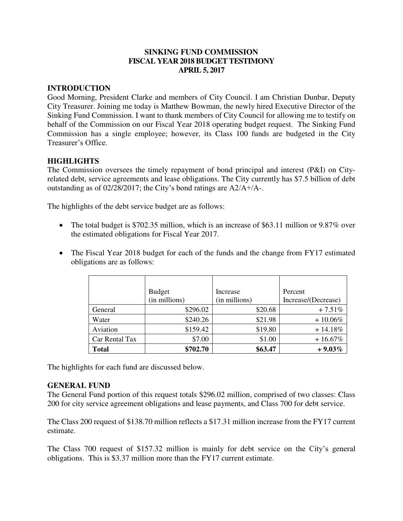## **SINKING FUND COMMISSION FISCAL YEAR 2018 BUDGET TESTIMONY APRIL 5, 2017**

## **INTRODUCTION**

Good Morning, President Clarke and members of City Council. I am Christian Dunbar, Deputy City Treasurer. Joining me today is Matthew Bowman, the newly hired Executive Director of the Sinking Fund Commission. I want to thank members of City Council for allowing me to testify on behalf of the Commission on our Fiscal Year 2018 operating budget request. The Sinking Fund Commission has a single employee; however, its Class 100 funds are budgeted in the City Treasurer's Office.

# **HIGHLIGHTS**

The Commission oversees the timely repayment of bond principal and interest (P&I) on Cityrelated debt, service agreements and lease obligations. The City currently has \$7.5 billion of debt outstanding as of 02/28/2017; the City's bond ratings are A2/A+/A-.

The highlights of the debt service budget are as follows:

- The total budget is \$702.35 million, which is an increase of \$63.11 million or 9.87% over the estimated obligations for Fiscal Year 2017.
- The Fiscal Year 2018 budget for each of the funds and the change from FY17 estimated obligations are as follows:

|                | <b>Budget</b> | Increase      | Percent             |
|----------------|---------------|---------------|---------------------|
|                | (in millions) | (in millions) | Increase/(Decrease) |
| General        | \$296.02      | \$20.68       | $+7.51%$            |
| Water          | \$240.26      | \$21.98       | $+10.06%$           |
| Aviation       | \$159.42      | \$19.80       | $+14.18%$           |
| Car Rental Tax | \$7.00        | \$1.00        | $+16.67%$           |
| <b>Total</b>   | \$702.70      | \$63.47       | $+9.03\%$           |

The highlights for each fund are discussed below.

#### **GENERAL FUND**

The General Fund portion of this request totals \$296.02 million, comprised of two classes: Class 200 for city service agreement obligations and lease payments, and Class 700 for debt service.

The Class 200 request of \$138.70 million reflects a \$17.31 million increase from the FY17 current estimate.

The Class 700 request of \$157.32 million is mainly for debt service on the City's general obligations. This is \$3.37 million more than the FY17 current estimate.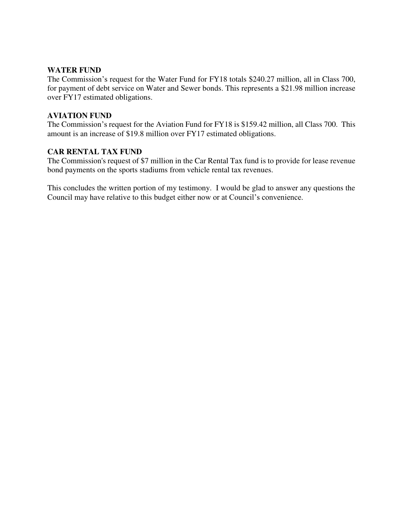### **WATER FUND**

The Commission's request for the Water Fund for FY18 totals \$240.27 million, all in Class 700, for payment of debt service on Water and Sewer bonds. This represents a \$21.98 million increase over FY17 estimated obligations.

## **AVIATION FUND**

The Commission's request for the Aviation Fund for FY18 is \$159.42 million, all Class 700. This amount is an increase of \$19.8 million over FY17 estimated obligations.

## **CAR RENTAL TAX FUND**

The Commission's request of \$7 million in the Car Rental Tax fund is to provide for lease revenue bond payments on the sports stadiums from vehicle rental tax revenues.

This concludes the written portion of my testimony. I would be glad to answer any questions the Council may have relative to this budget either now or at Council's convenience.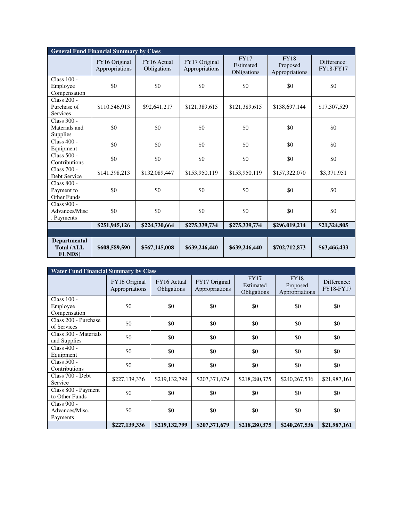| <b>General Fund Financial Summary by Class</b>             |                                 |                            |                                 |                                         |                                           |                                 |  |
|------------------------------------------------------------|---------------------------------|----------------------------|---------------------------------|-----------------------------------------|-------------------------------------------|---------------------------------|--|
|                                                            | FY16 Original<br>Appropriations | FY16 Actual<br>Obligations | FY17 Original<br>Appropriations | <b>FY17</b><br>Estimated<br>Obligations | <b>FY18</b><br>Proposed<br>Appropriations | Difference:<br><b>FY18-FY17</b> |  |
| Class 100 -<br>Employee<br>Compensation                    | \$0                             | \$0                        | \$0                             | \$0                                     | \$0                                       | \$0                             |  |
| Class 200 -<br>Purchase of<br><b>Services</b>              | \$110,546,913                   | \$92,641,217               | \$121,389,615                   | \$121,389,615                           | \$138,697,144                             | \$17,307,529                    |  |
| Class 300 -<br>Materials and<br><b>Supplies</b>            | \$0                             | \$0                        | \$0                             | \$0                                     | \$0                                       | \$0                             |  |
| Class 400 -<br>Equipment                                   | \$0                             | \$0                        | \$0                             | \$0                                     | \$0                                       | \$0                             |  |
| Class $500 -$<br>Contributions                             | \$0                             | \$0                        | \$0                             | \$0                                     | \$0                                       | \$0                             |  |
| Class 700 -<br>Debt Service                                | \$141,398,213                   | \$132,089,447              | \$153,950,119                   | \$153,950,119                           | \$157,322,070                             | \$3,371,951                     |  |
| Class 800 -<br>Payment to<br>Other Funds                   | \$0                             | \$0                        | \$0                             | \$0                                     | \$0                                       | \$0                             |  |
| <b>Class 900 -</b><br>Advances/Misc<br>. Payments          | \$0                             | \$0                        | \$0                             | \$0                                     | \$0                                       | \$0                             |  |
|                                                            | \$251,945,126                   | \$224,730,664              | \$275,339,734                   | \$275,339,734                           | \$296,019,214                             | \$21,324,805                    |  |
|                                                            |                                 |                            |                                 |                                         |                                           |                                 |  |
| <b>Departmental</b><br><b>Total (ALL</b><br><b>FUNDS</b> ) | \$608,589,590                   | \$567,145,008              | \$639,246,440                   | \$639,246,440                           | \$702,712,873                             | \$63,466,433                    |  |

| <b>Water Fund Financial Summary by Class</b> |                                 |                            |                                 |                                         |                                           |                          |  |
|----------------------------------------------|---------------------------------|----------------------------|---------------------------------|-----------------------------------------|-------------------------------------------|--------------------------|--|
|                                              | FY16 Original<br>Appropriations | FY16 Actual<br>Obligations | FY17 Original<br>Appropriations | <b>FY17</b><br>Estimated<br>Obligations | <b>FY18</b><br>Proposed<br>Appropriations | Difference:<br>FY18-FY17 |  |
| Class $100 -$<br>Employee<br>Compensation    | \$0                             | \$0                        | \$0                             | \$0                                     | \$0                                       | \$0                      |  |
| Class 200 - Purchase<br>of Services          | \$0                             | \$0                        | \$0                             | \$0                                     | \$0                                       | \$0                      |  |
| Class 300 - Materials<br>and Supplies        | \$0                             | \$0                        | \$0                             | \$0                                     | \$0                                       | \$0                      |  |
| Class 400 -<br>Equipment                     | \$0                             | \$0                        | \$0                             | \$0                                     | \$0                                       | \$0                      |  |
| Class 500 -<br>Contributions                 | \$0                             | \$0                        | \$0                             | \$0                                     | \$0                                       | \$0                      |  |
| Class 700 - Debt<br>Service                  | \$227,139,336                   | \$219,132,799              | \$207,371,679                   | \$218,280,375                           | \$240,267,536                             | \$21,987,161             |  |
| Class 800 - Payment<br>to Other Funds        | \$0                             | \$0                        | \$0                             | \$0                                     | \$0                                       | \$0                      |  |
| Class 900 -<br>Advances/Misc.<br>Payments    | \$0                             | \$0                        | \$0                             | \$0                                     | \$0                                       | \$0                      |  |
|                                              | \$227,139,336                   | \$219,132,799              | \$207,371,679                   | \$218,280,375                           | \$240,267,536                             | \$21,987,161             |  |